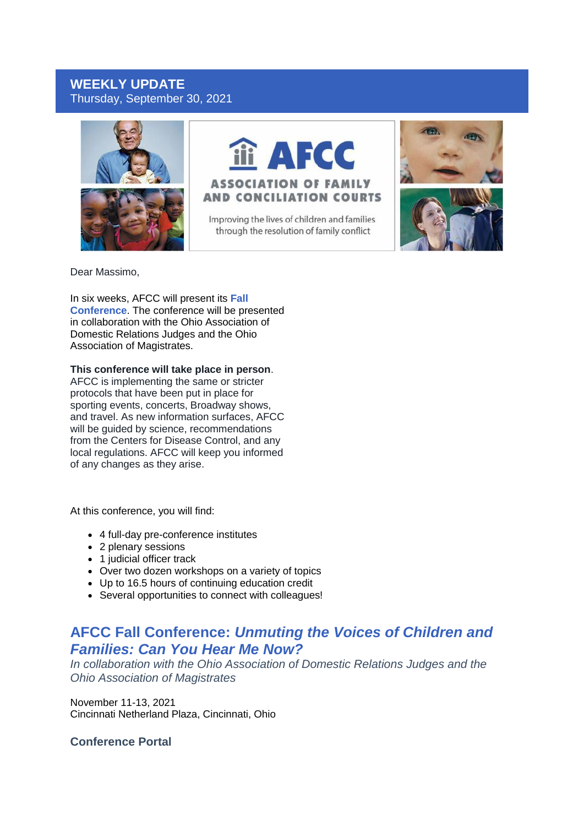# **WEEKLY UPDATE** Thursday, September 30, 2021





Improving the lives of children and families through the resolution of family conflict





Dear Massimo,

In six weeks, AFCC will present its **[Fall](https://r20.rs6.net/tn.jsp?f=001zVuCuVZbk3k5kPBeehXlcs6lBNLDPUlK8itrLuL_HqZsp35y-nuD36eJQtYNV4Z8drNElsbGGtinvSSRxDK88GSNJXYip3tl9RNVkmcXtoOqSbjJGLA3rDtBcLx_aHRtsip1aDhJpx8iZWFylor5c61Z5-koDusN74U1GWBjjS5L6LedQMO2vfUxnyszEuAKJliLXrUnWkgg6zKhg3Yx-4Z23vPUxerItIY-71DcP3qXmYJeBG2Mgi-Jsj5R8jx8ZDQqjGnZNZNXguW50kfVMQ==&c=ZwowOTlHYB7IqYEb8cRPQCTZiMZeki4ZwzIVtMO9y3GGQEAMNXMbTQ==&ch=SVMCzBfNV-kM3BCSIaUgPRag_ANpJU5fgEGSr-hMuiPl8EMi7pocQg==)  [Conference](https://r20.rs6.net/tn.jsp?f=001zVuCuVZbk3k5kPBeehXlcs6lBNLDPUlK8itrLuL_HqZsp35y-nuD36eJQtYNV4Z8drNElsbGGtinvSSRxDK88GSNJXYip3tl9RNVkmcXtoOqSbjJGLA3rDtBcLx_aHRtsip1aDhJpx8iZWFylor5c61Z5-koDusN74U1GWBjjS5L6LedQMO2vfUxnyszEuAKJliLXrUnWkgg6zKhg3Yx-4Z23vPUxerItIY-71DcP3qXmYJeBG2Mgi-Jsj5R8jx8ZDQqjGnZNZNXguW50kfVMQ==&c=ZwowOTlHYB7IqYEb8cRPQCTZiMZeki4ZwzIVtMO9y3GGQEAMNXMbTQ==&ch=SVMCzBfNV-kM3BCSIaUgPRag_ANpJU5fgEGSr-hMuiPl8EMi7pocQg==)**. The conference will be presented in collaboration with the Ohio Association of Domestic Relations Judges and the Ohio Association of Magistrates.

#### **This conference will take place in person**.

AFCC is implementing the same or stricter protocols that have been put in place for sporting events, concerts, Broadway shows, and travel. As new information surfaces, AFCC will be guided by science, recommendations from the Centers for Disease Control, and any local regulations. AFCC will keep you informed of any changes as they arise.

At this conference, you will find:

- 4 full-day pre-conference institutes
- 2 plenary sessions
- 1 judicial officer track
- Over two dozen workshops on a variety of topics
- Up to 16.5 hours of continuing education credit
- Several opportunities to connect with colleagues!

# **AFCC Fall Conference:** *Unmuting the Voices of Children and Families: Can You Hear Me Now?*

*In collaboration with the Ohio Association of Domestic Relations Judges and the Ohio Association of Magistrates*

November 11-13, 2021 Cincinnati Netherland Plaza, Cincinnati, Ohio

**Conference Portal**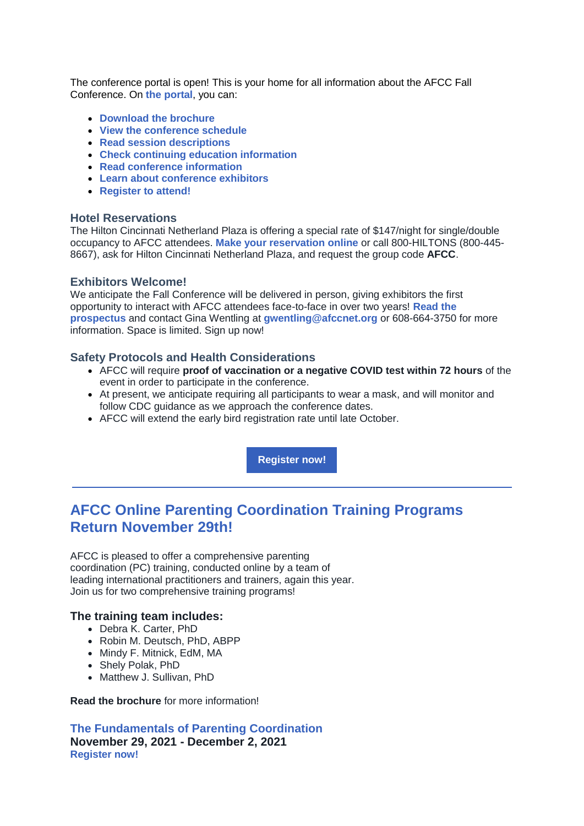The conference portal is open! This is your home for all information about the AFCC Fall Conference. On **[the portal](https://r20.rs6.net/tn.jsp?f=001zVuCuVZbk3k5kPBeehXlcs6lBNLDPUlK8itrLuL_HqZsp35y-nuD39xdaZkl3aejJ2ry8Da35MLrJadFAbrGwsKX6onAM-swZLsl4Vw1n6RS40rgNiqmee8y0wn7n52W893ElwtXSPMHOpW9SBEf3WeDrHXY9QZ4XSxjDQtoGxg=&c=ZwowOTlHYB7IqYEb8cRPQCTZiMZeki4ZwzIVtMO9y3GGQEAMNXMbTQ==&ch=SVMCzBfNV-kM3BCSIaUgPRag_ANpJU5fgEGSr-hMuiPl8EMi7pocQg==)**, you can:

- **[Download the brochure](https://r20.rs6.net/tn.jsp?f=001zVuCuVZbk3k5kPBeehXlcs6lBNLDPUlK8itrLuL_HqZsp35y-nuD38t-DLpvj6YGOv9xB8q93N61gf9fpZI_iGP23yIaSCIpxxt2UmWUGoPGVqc8kBApf1HHz0nTSzPod7HI86XvuHuEodPnyXEhqHd-2XUTs_ZGzmPj2vvq6F37Jne5gH_1Pn6qQtyrdSys-OlWgBDPagMY6jLuUW1o7wnRyfU9ZYoPUatoEWVnWDcbdb7qg1SAz_pXmMPl33LgkK1_gAxnMjqiMdrlC_wV8pffUzcGvw5LtW-lCBpzhsFVS1CGG42lq4upzDqsN_ltbxAYfrFF0U0vZCszIjpeVQ==&c=ZwowOTlHYB7IqYEb8cRPQCTZiMZeki4ZwzIVtMO9y3GGQEAMNXMbTQ==&ch=SVMCzBfNV-kM3BCSIaUgPRag_ANpJU5fgEGSr-hMuiPl8EMi7pocQg==)**
- **[View the conference schedule](https://r20.rs6.net/tn.jsp?f=001zVuCuVZbk3k5kPBeehXlcs6lBNLDPUlK8itrLuL_HqZsp35y-nuD38t-DLpvj6YGA275pqC2yWg7K76I5hJXqksCka6hojTXC13t5yW8dp0l_BSLXrqTjG7sKq92FAeFD-TMqwb1hFSKmMOSyMF_xJeuyNLEO4Cved7ajqM2fFXIKaIp-KfbRw==&c=ZwowOTlHYB7IqYEb8cRPQCTZiMZeki4ZwzIVtMO9y3GGQEAMNXMbTQ==&ch=SVMCzBfNV-kM3BCSIaUgPRag_ANpJU5fgEGSr-hMuiPl8EMi7pocQg==)**
- **[Read session descriptions](https://r20.rs6.net/tn.jsp?f=001zVuCuVZbk3k5kPBeehXlcs6lBNLDPUlK8itrLuL_HqZsp35y-nuD38t-DLpvj6YGA275pqC2yWg7K76I5hJXqksCka6hojTXC13t5yW8dp0l_BSLXrqTjG7sKq92FAeFD-TMqwb1hFSKmMOSyMF_xJeuyNLEO4Cved7ajqM2fFXIKaIp-KfbRw==&c=ZwowOTlHYB7IqYEb8cRPQCTZiMZeki4ZwzIVtMO9y3GGQEAMNXMbTQ==&ch=SVMCzBfNV-kM3BCSIaUgPRag_ANpJU5fgEGSr-hMuiPl8EMi7pocQg==)**
- **[Check continuing education information](https://r20.rs6.net/tn.jsp?f=001zVuCuVZbk3k5kPBeehXlcs6lBNLDPUlK8itrLuL_HqZsp35y-nuD38t-DLpvj6YGwNKJ1qjRTvoazzq3alY4vsZ7qUtDfYyEZqSwnqCXm7h_2DOUGtcK8xVCfk7O0JsNeRVk3VXgZaruyTjBDrKirg57oqWIX23fWB6z49TWg3lFTa7bVLhalBtvcjkP-QCn&c=ZwowOTlHYB7IqYEb8cRPQCTZiMZeki4ZwzIVtMO9y3GGQEAMNXMbTQ==&ch=SVMCzBfNV-kM3BCSIaUgPRag_ANpJU5fgEGSr-hMuiPl8EMi7pocQg==)**
- **[Read conference information](https://r20.rs6.net/tn.jsp?f=001zVuCuVZbk3k5kPBeehXlcs6lBNLDPUlK8itrLuL_HqZsp35y-nuD38t-DLpvj6YGeIUrcX_MS7dffCTrkRvqckGtuMQvaOUZv-LrxHYURbQav0PVPn8V3b5f_PvuqWjCDjmcIrLSYDuGnAaQTRyxWYKFwQIhaMQdsignf7i3ou1u5aBsVGVbXCMNAYtcZ8ch&c=ZwowOTlHYB7IqYEb8cRPQCTZiMZeki4ZwzIVtMO9y3GGQEAMNXMbTQ==&ch=SVMCzBfNV-kM3BCSIaUgPRag_ANpJU5fgEGSr-hMuiPl8EMi7pocQg==)**
- **[Learn about conference exhibitors](https://r20.rs6.net/tn.jsp?f=001zVuCuVZbk3k5kPBeehXlcs6lBNLDPUlK8itrLuL_HqZsp35y-nuD38t-DLpvj6YGqeTkoQ-8LZpizUKMxVrMuprBaQwmPF7bo483reE2wYhfpe5quNJnHaUx0dD4aXNiL5TxoJYZUXawjAhihNqTv4UMJJYp3-xedIhacnJvgcywqO4-J4eRXJ_TgrxwGAOs&c=ZwowOTlHYB7IqYEb8cRPQCTZiMZeki4ZwzIVtMO9y3GGQEAMNXMbTQ==&ch=SVMCzBfNV-kM3BCSIaUgPRag_ANpJU5fgEGSr-hMuiPl8EMi7pocQg==)**
- **[Register to attend!](https://r20.rs6.net/tn.jsp?f=001zVuCuVZbk3k5kPBeehXlcs6lBNLDPUlK8itrLuL_HqZsp35y-nuD39AddSFlT1vrzVyAO2FfxBWhoCB-Is8UntBnT9r4AqqB8IUgoiQ9OSC3kY1_2JMx7EfKhtWw71t-Tk99GHnjwiy-vrZ4RiVsCK67geVfwHfqt7dRdMlHEPThxTeL3eotnwhEgSvacKD6LceO-6xDJG87TaWWbExtBYqlhYPUAbTyM05jLlzivpjTlbG94CCnPw==&c=ZwowOTlHYB7IqYEb8cRPQCTZiMZeki4ZwzIVtMO9y3GGQEAMNXMbTQ==&ch=SVMCzBfNV-kM3BCSIaUgPRag_ANpJU5fgEGSr-hMuiPl8EMi7pocQg==)**

### **Hotel Reservations**

The Hilton Cincinnati Netherland Plaza is offering a special rate of \$147/night for single/double occupancy to AFCC attendees. **[Make your reservation online](https://r20.rs6.net/tn.jsp?f=001zVuCuVZbk3k5kPBeehXlcs6lBNLDPUlK8itrLuL_HqZsp35y-nuD36Ls9N5_3AuvMosyeN1hJd_Uc20hRpCM-twNyPe0quFM4fnhTFDNc5xR4Z8EYUVjaa4pZie58lcuU3xG3QKJOTuzbqM6QTcF7A==&c=ZwowOTlHYB7IqYEb8cRPQCTZiMZeki4ZwzIVtMO9y3GGQEAMNXMbTQ==&ch=SVMCzBfNV-kM3BCSIaUgPRag_ANpJU5fgEGSr-hMuiPl8EMi7pocQg==)** or call 800-HILTONS (800-445- 8667), ask for Hilton Cincinnati Netherland Plaza, and request the group code **AFCC**.

#### **Exhibitors Welcome!**

We anticipate the Fall Conference will be delivered in person, giving exhibitors the first opportunity to interact with AFCC attendees face-to-face in over two years! **[Read the](https://r20.rs6.net/tn.jsp?f=001zVuCuVZbk3k5kPBeehXlcs6lBNLDPUlK8itrLuL_HqZsp35y-nuD36Ls9N5_3AuvpPiIumpBCdp75xnWvh3i-bk4Da5KXPaxwvMbj0glPCqD17BTmnCvmtKLpeUt7G6rU33ufJ6fYjrEh--NXqhTEr-cqyjtYgBLAFvbERKu1ilxoaXCxZl6mA-DpSjUpibACBQbGfYtCYVxC1F7vJpoPgP29pO_SZEJESLHrjZxPIPtS3O-KEhEGHj8aoFyhGSUGtIEZGUGnzMt7rXMkm5nxK0a4GzJoQPH&c=ZwowOTlHYB7IqYEb8cRPQCTZiMZeki4ZwzIVtMO9y3GGQEAMNXMbTQ==&ch=SVMCzBfNV-kM3BCSIaUgPRag_ANpJU5fgEGSr-hMuiPl8EMi7pocQg==)  [prospectus](https://r20.rs6.net/tn.jsp?f=001zVuCuVZbk3k5kPBeehXlcs6lBNLDPUlK8itrLuL_HqZsp35y-nuD36Ls9N5_3AuvpPiIumpBCdp75xnWvh3i-bk4Da5KXPaxwvMbj0glPCqD17BTmnCvmtKLpeUt7G6rU33ufJ6fYjrEh--NXqhTEr-cqyjtYgBLAFvbERKu1ilxoaXCxZl6mA-DpSjUpibACBQbGfYtCYVxC1F7vJpoPgP29pO_SZEJESLHrjZxPIPtS3O-KEhEGHj8aoFyhGSUGtIEZGUGnzMt7rXMkm5nxK0a4GzJoQPH&c=ZwowOTlHYB7IqYEb8cRPQCTZiMZeki4ZwzIVtMO9y3GGQEAMNXMbTQ==&ch=SVMCzBfNV-kM3BCSIaUgPRag_ANpJU5fgEGSr-hMuiPl8EMi7pocQg==)** and contact Gina Wentling at **[gwentling@afccnet.org](mailto:gwentling@afccnet.org)** or 608-664-3750 for more information. Space is limited. Sign up now!

## **Safety Protocols and Health Considerations**

- AFCC will require **proof of vaccination or a negative COVID test within 72 hours** of the event in order to participate in the conference.
- At present, we anticipate requiring all participants to wear a mask, and will monitor and follow CDC guidance as we approach the conference dates.
- AFCC will extend the early bird registration rate until late October.

**[Register now!](https://r20.rs6.net/tn.jsp?f=001zVuCuVZbk3k5kPBeehXlcs6lBNLDPUlK8itrLuL_HqZsp35y-nuD39xdaZkl3aejJ2ry8Da35MLrJadFAbrGwsKX6onAM-swZLsl4Vw1n6RS40rgNiqmee8y0wn7n52W893ElwtXSPMHOpW9SBEf3WeDrHXY9QZ4XSxjDQtoGxg=&c=ZwowOTlHYB7IqYEb8cRPQCTZiMZeki4ZwzIVtMO9y3GGQEAMNXMbTQ==&ch=SVMCzBfNV-kM3BCSIaUgPRag_ANpJU5fgEGSr-hMuiPl8EMi7pocQg==)**

# **AFCC Online Parenting Coordination Training Programs Return November 29th!**

AFCC is pleased to offer a comprehensive parenting coordination (PC) training, conducted online by a team of leading international practitioners and trainers, again this year. Join us for two comprehensive training programs!

#### **The training team includes:**

- Debra K. Carter, PhD
- Robin M. Deutsch, PhD, ABPP
- Mindy F. Mitnick, EdM, MA
- Shely Polak, PhD
- Matthew J. Sullivan, PhD

**[Read the brochure](https://r20.rs6.net/tn.jsp?f=001zVuCuVZbk3k5kPBeehXlcs6lBNLDPUlK8itrLuL_HqZsp35y-nuD38t-DLpvj6YG6_uCzvaLgEsyQtAGHKyD8I44TX1Fq40fxouN6csNEcjyC2D-3pnSQqPfL-HUDuBsj_M7XqAA4IEmYT6m9EMg5cXcJw_eadm2Epwg8SNfL0VIbfZRB9H0IXWbCBXFRDAZv89ZFH3U3Pa8WJq8z0O8H-kGvvYJOvNaoivG_KZD3vPcMS3dHMHmfg==&c=ZwowOTlHYB7IqYEb8cRPQCTZiMZeki4ZwzIVtMO9y3GGQEAMNXMbTQ==&ch=SVMCzBfNV-kM3BCSIaUgPRag_ANpJU5fgEGSr-hMuiPl8EMi7pocQg==)** for more information!

**[The Fundamentals of Parenting Coordination](https://r20.rs6.net/tn.jsp?f=001zVuCuVZbk3k5kPBeehXlcs6lBNLDPUlK8itrLuL_HqZsp35y-nuD38t-DLpvj6YGCSEbUeX--PYQ-uT8b1HaUKo6gxPWOzZBKQ34x93vwMdWKXJdDJKCd8bkF3izN63fwiPY0PoMRKYjH4oaVbwJj50q-uvP7Atu65XLsHj-gw7so5t4WtVNANgHAZuKbmXfSAV2ncg93bXKxsq8s2DTORaJ8x_3nKCUZo65YqHULXdA3Y41sZTQsOyP7FdWBmaodr0-ADimRTs=&c=ZwowOTlHYB7IqYEb8cRPQCTZiMZeki4ZwzIVtMO9y3GGQEAMNXMbTQ==&ch=SVMCzBfNV-kM3BCSIaUgPRag_ANpJU5fgEGSr-hMuiPl8EMi7pocQg==) November 29, 2021 - December 2, 2021 [Register now!](https://r20.rs6.net/tn.jsp?f=001zVuCuVZbk3k5kPBeehXlcs6lBNLDPUlK8itrLuL_HqZsp35y-nuD38t-DLpvj6YGCSEbUeX--PYQ-uT8b1HaUKo6gxPWOzZBKQ34x93vwMdWKXJdDJKCd8bkF3izN63fwiPY0PoMRKYjH4oaVbwJj50q-uvP7Atu65XLsHj-gw7so5t4WtVNANgHAZuKbmXfSAV2ncg93bXKxsq8s2DTORaJ8x_3nKCUZo65YqHULXdA3Y41sZTQsOyP7FdWBmaodr0-ADimRTs=&c=ZwowOTlHYB7IqYEb8cRPQCTZiMZeki4ZwzIVtMO9y3GGQEAMNXMbTQ==&ch=SVMCzBfNV-kM3BCSIaUgPRag_ANpJU5fgEGSr-hMuiPl8EMi7pocQg==)**